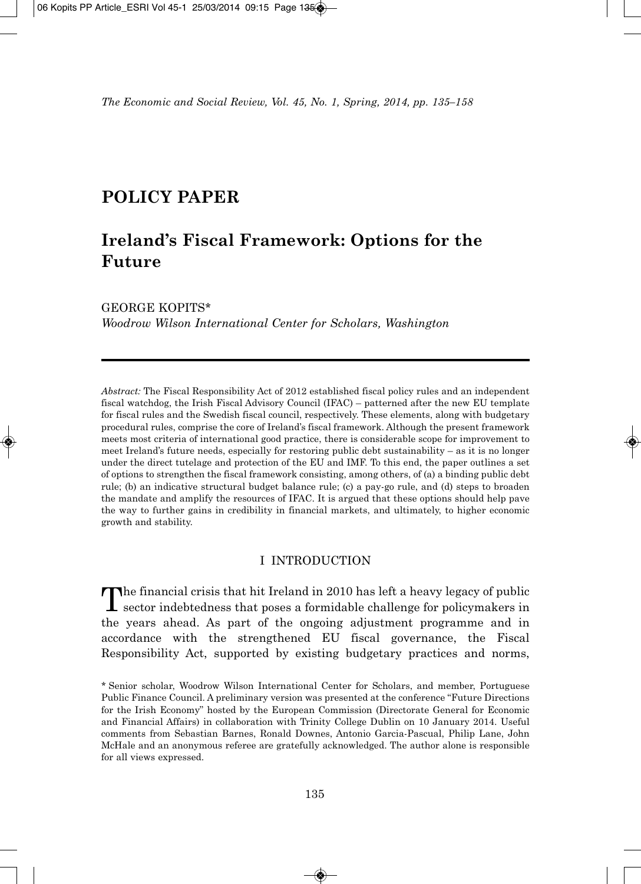## **POLICY PAPER**

# **Ireland's Fiscal Framework: Options for the Future**

GEORGE KOPITS\* *Woodrow Wilson International Center for Scholars, Washington*

*Abstract:* The Fiscal Responsibility Act of 2012 established fiscal policy rules and an independent fiscal watchdog, the Irish Fiscal Advisory Council (IFAC) – patterned after the new EU template for fiscal rules and the Swedish fiscal council, respectively. These elements, along with budgetary procedural rules, comprise the core of Ireland's fiscal framework. Although the present framework meets most criteria of international good practice, there is considerable scope for improvement to meet Ireland's future needs, especially for restoring public debt sustainability – as it is no longer under the direct tutelage and protection of the EU and IMF. To this end, the paper outlines a set of options to strengthen the fiscal framework consisting, among others, of (a) a binding public debt rule; (b) an indicative structural budget balance rule; (c) a pay-go rule, and (d) steps to broaden the mandate and amplify the resources of IFAC. It is argued that these options should help pave the way to further gains in credibility in financial markets, and ultimately, to higher economic growth and stability.

## I INTRODUCTION

The financial crisis that hit Ireland in 2010 has left a heavy legacy of public<br>sector indebtedness that poses a formidable challenge for policymakers in the years ahead. As part of the ongoing adjustment programme and in accordance with the strengthened EU fiscal governance, the Fiscal Responsibility Act, supported by existing budgetary practices and norms,

<sup>\*</sup> Senior scholar, Woodrow Wilson International Center for Scholars, and member, Portuguese Public Finance Council. A preliminary version was presented at the conference "Future Directions for the Irish Economy" hosted by the European Commission (Directorate General for Economic and Financial Affairs) in collaboration with Trinity College Dublin on 10 January 2014. Useful comments from Sebastian Barnes, Ronald Downes, Antonio Garcia-Pascual, Philip Lane, John McHale and an anonymous referee are gratefully acknowledged. The author alone is responsible for all views expressed.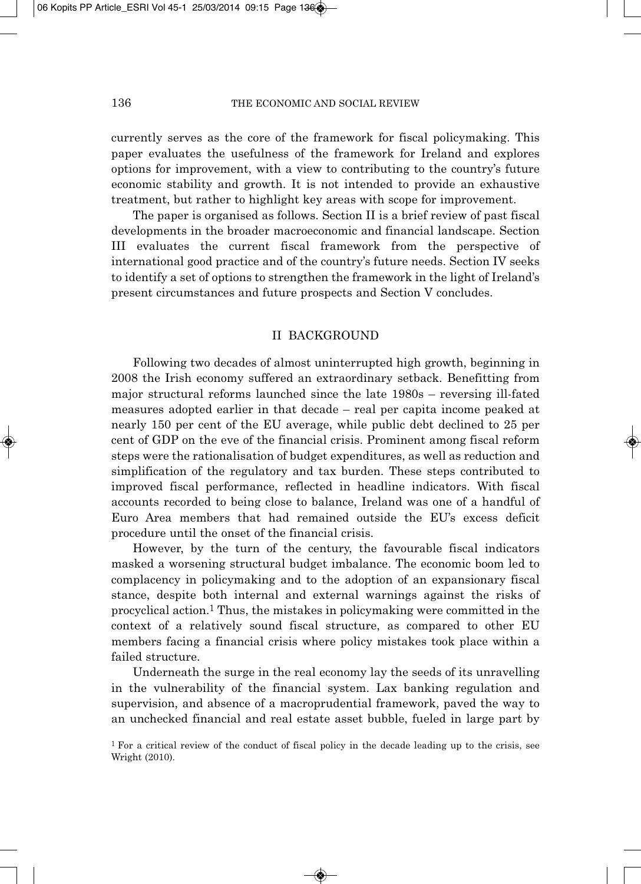currently serves as the core of the framework for fiscal policymaking. This paper evaluates the usefulness of the framework for Ireland and explores options for improvement, with a view to contributing to the country's future economic stability and growth. It is not intended to provide an exhaustive treatment, but rather to highlight key areas with scope for improvement.

The paper is organised as follows. Section II is a brief review of past fiscal developments in the broader macroeconomic and financial landscape. Section III evaluates the current fiscal framework from the perspective of international good practice and of the country's future needs. Section IV seeks to identify a set of options to strengthen the framework in the light of Ireland's present circumstances and future prospects and Section V concludes.

#### II BACKGROUND

Following two decades of almost uninterrupted high growth, beginning in 2008 the Irish economy suffered an extraordinary setback. Benefitting from major structural reforms launched since the late 1980s – reversing ill-fated measures adopted earlier in that decade – real per capita income peaked at nearly 150 per cent of the EU average, while public debt declined to 25 per cent of GDP on the eve of the financial crisis. Prominent among fiscal reform steps were the rationalisation of budget expenditures, as well as reduction and simplification of the regulatory and tax burden. These steps contributed to improved fiscal performance, reflected in headline indicators. With fiscal accounts recorded to being close to balance, Ireland was one of a handful of Euro Area members that had remained outside the EU's excess deficit procedure until the onset of the financial crisis.

However, by the turn of the century, the favourable fiscal indicators masked a worsening structural budget imbalance. The economic boom led to complacency in policymaking and to the adoption of an expansionary fiscal stance, despite both internal and external warnings against the risks of procyclical action.1 Thus, the mistakes in policymaking were committed in the context of a relatively sound fiscal structure, as compared to other EU members facing a financial crisis where policy mistakes took place within a failed structure.

Underneath the surge in the real economy lay the seeds of its unravelling in the vulnerability of the financial system. Lax banking regulation and supervision, and absence of a macroprudential framework, paved the way to an unchecked financial and real estate asset bubble, fueled in large part by

<sup>&</sup>lt;sup>1</sup> For a critical review of the conduct of fiscal policy in the decade leading up to the crisis, see Wright (2010).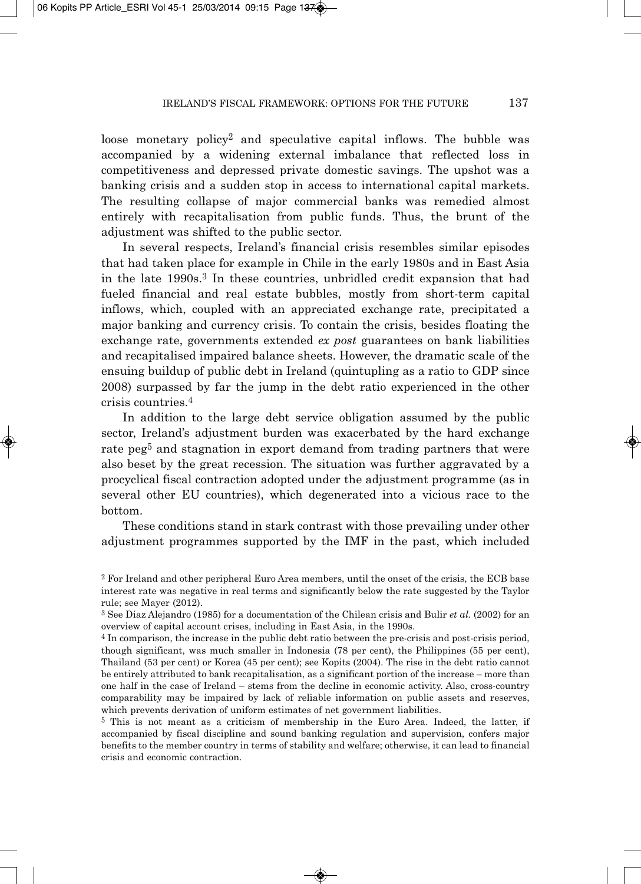loose monetary policy2 and speculative capital inflows. The bubble was accompanied by a widening external imbalance that reflected loss in competitiveness and depressed private domestic savings. The upshot was a banking crisis and a sudden stop in access to international capital markets. The resulting collapse of major commercial banks was remedied almost entirely with recapitalisation from public funds. Thus, the brunt of the adjustment was shifted to the public sector.

In several respects, Ireland's financial crisis resembles similar episodes that had taken place for example in Chile in the early 1980s and in East Asia in the late 1990s.3 In these countries, unbridled credit expansion that had fueled financial and real estate bubbles, mostly from short-term capital inflows, which, coupled with an appreciated exchange rate, precipitated a major banking and currency crisis. To contain the crisis, besides floating the exchange rate, governments extended *ex post* guarantees on bank liabilities and recapitalised impaired balance sheets. However, the dramatic scale of the ensuing buildup of public debt in Ireland (quintupling as a ratio to GDP since 2008) surpassed by far the jump in the debt ratio experienced in the other crisis countries.4

In addition to the large debt service obligation assumed by the public sector, Ireland's adjustment burden was exacerbated by the hard exchange rate peg<sup>5</sup> and stagnation in export demand from trading partners that were also beset by the great recession. The situation was further aggravated by a procyclical fiscal contraction adopted under the adjustment programme (as in several other EU countries), which degenerated into a vicious race to the bottom.

These conditions stand in stark contrast with those prevailing under other adjustment programmes supported by the IMF in the past, which included

<sup>5</sup> This is not meant as a criticism of membership in the Euro Area. Indeed, the latter, if accompanied by fiscal discipline and sound banking regulation and supervision, confers major benefits to the member country in terms of stability and welfare; otherwise, it can lead to financial crisis and economic contraction.

<sup>2</sup> For Ireland and other peripheral Euro Area members, until the onset of the crisis, the ECB base interest rate was negative in real terms and significantly below the rate suggested by the Taylor rule; see Mayer (2012).

<sup>3</sup> See Diaz Alejandro (1985) for a documentation of the Chilean crisis and Bulir *et al.* (2002) for an overview of capital account crises, including in East Asia, in the 1990s.

<sup>4</sup> In comparison, the increase in the public debt ratio between the pre-crisis and post-crisis period, though significant, was much smaller in Indonesia (78 per cent), the Philippines (55 per cent), Thailand (53 per cent) or Korea (45 per cent); see Kopits (2004). The rise in the debt ratio cannot be entirely attributed to bank recapitalisation, as a significant portion of the increase – more than one half in the case of Ireland – stems from the decline in economic activity. Also, cross-country comparability may be impaired by lack of reliable information on public assets and reserves, which prevents derivation of uniform estimates of net government liabilities.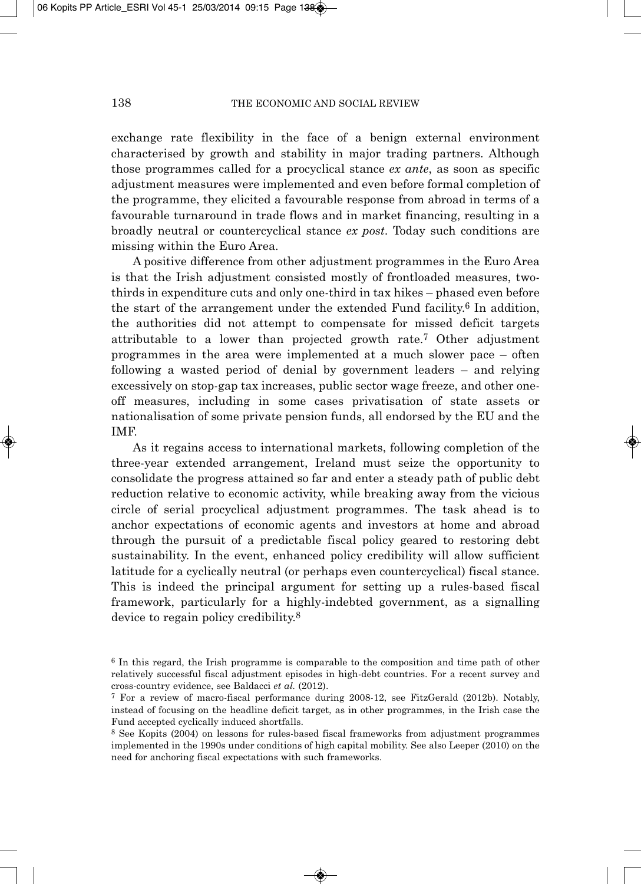exchange rate flexibility in the face of a benign external environment characterised by growth and stability in major trading partners. Although those programmes called for a procyclical stance *ex ante*, as soon as specific adjustment measures were implemented and even before formal completion of the programme, they elicited a favourable response from abroad in terms of a favourable turnaround in trade flows and in market financing, resulting in a broadly neutral or countercyclical stance *ex post*. Today such conditions are missing within the Euro Area.

A positive difference from other adjustment programmes in the Euro Area is that the Irish adjustment consisted mostly of frontloaded measures, twothirds in expenditure cuts and only one-third in tax hikes – phased even before the start of the arrangement under the extended Fund facility.<sup>6</sup> In addition, the authorities did not attempt to compensate for missed deficit targets attributable to a lower than projected growth rate.7 Other adjustment programmes in the area were implemented at a much slower pace – often following a wasted period of denial by government leaders – and relying excessively on stop-gap tax increases, public sector wage freeze, and other oneoff measures, including in some cases privatisation of state assets or nationalisation of some private pension funds, all endorsed by the EU and the IMF.

As it regains access to international markets, following completion of the three-year extended arrangement, Ireland must seize the opportunity to consolidate the progress attained so far and enter a steady path of public debt reduction relative to economic activity, while breaking away from the vicious circle of serial procyclical adjustment programmes. The task ahead is to anchor expectations of economic agents and investors at home and abroad through the pursuit of a predictable fiscal policy geared to restoring debt sustainability. In the event, enhanced policy credibility will allow sufficient latitude for a cyclically neutral (or perhaps even countercyclical) fiscal stance. This is indeed the principal argument for setting up a rules-based fiscal framework, particularly for a highly-indebted government, as a signalling device to regain policy credibility.8

<sup>6</sup> In this regard, the Irish programme is comparable to the composition and time path of other relatively successful fiscal adjustment episodes in high-debt countries. For a recent survey and cross-country evidence, see Baldacci *et al.* (2012).

<sup>7</sup> For a review of macro-fiscal performance during 2008-12, see FitzGerald (2012b). Notably, instead of focusing on the headline deficit target, as in other programmes, in the Irish case the Fund accepted cyclically induced shortfalls.

<sup>8</sup> See Kopits (2004) on lessons for rules-based fiscal frameworks from adjustment programmes implemented in the 1990s under conditions of high capital mobility. See also Leeper (2010) on the need for anchoring fiscal expectations with such frameworks.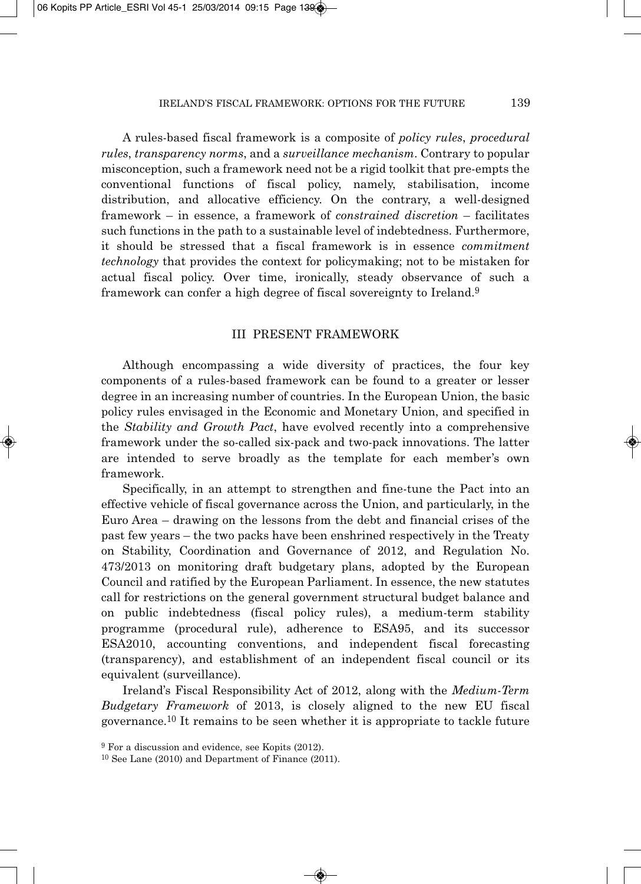A rules-based fiscal framework is a composite of *policy rules*, *procedural rules*, *transparency norms*, and a *surveillance mechanism*. Contrary to popular misconception, such a framework need not be a rigid toolkit that pre-empts the conventional functions of fiscal policy, namely, stabilisation, income distribution, and allocative efficiency. On the contrary, a well-designed framework – in essence, a framework of *constrained discretion* – facilitates such functions in the path to a sustainable level of indebtedness. Furthermore, it should be stressed that a fiscal framework is in essence *commitment technology* that provides the context for policymaking; not to be mistaken for actual fiscal policy. Over time, ironically, steady observance of such a framework can confer a high degree of fiscal sovereignty to Ireland.9

## III PRESENT FRAMEWORK

Although encompassing a wide diversity of practices, the four key components of a rules-based framework can be found to a greater or lesser degree in an increasing number of countries. In the European Union, the basic policy rules envisaged in the Economic and Monetary Union, and specified in the *Stability and Growth Pact*, have evolved recently into a comprehensive framework under the so-called six-pack and two-pack innovations. The latter are intended to serve broadly as the template for each member's own framework.

Specifically, in an attempt to strengthen and fine-tune the Pact into an effective vehicle of fiscal governance across the Union, and particularly, in the Euro Area – drawing on the lessons from the debt and financial crises of the past few years – the two packs have been enshrined respectively in the Treaty on Stability, Coordination and Governance of 2012, and Regulation No. 473/2013 on monitoring draft budgetary plans, adopted by the European Council and ratified by the European Parliament. In essence, the new statutes call for restrictions on the general government structural budget balance and on public indebtedness (fiscal policy rules), a medium-term stability programme (procedural rule), adherence to ESA95, and its successor ESA2010, accounting conventions, and independent fiscal forecasting (transparency), and establishment of an independent fiscal council or its equivalent (surveillance).

Ireland's Fiscal Responsibility Act of 2012, along with the *Medium-Term Budgetary Framework* of 2013, is closely aligned to the new EU fiscal governance.10 It remains to be seen whether it is appropriate to tackle future

<sup>9</sup> For a discussion and evidence, see Kopits (2012).

<sup>10</sup> See Lane (2010) and Department of Finance (2011).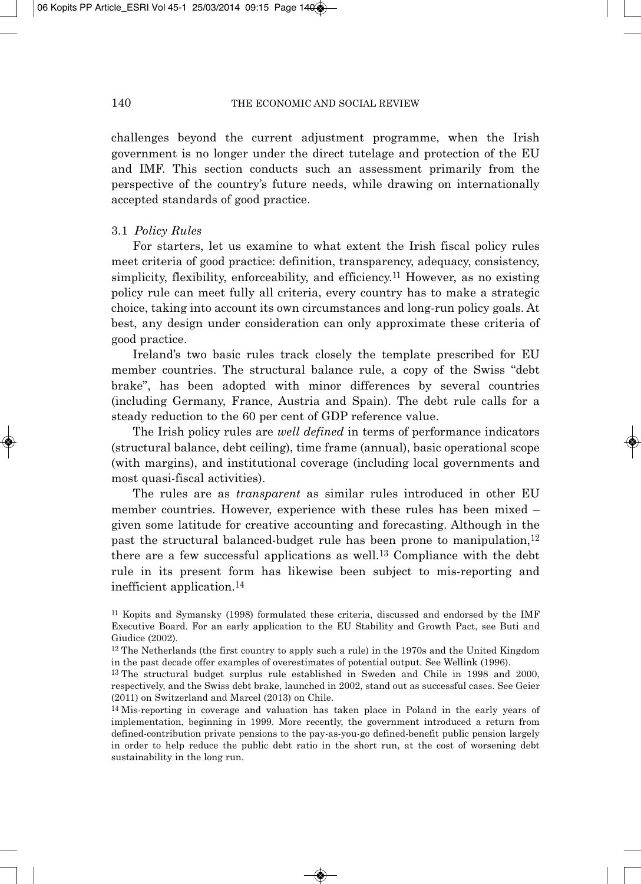challenges beyond the current adjustment programme, when the Irish government is no longer under the direct tutelage and protection of the EU and IMF. This section conducts such an assessment primarily from the perspective of the country's future needs, while drawing on internationally accepted standards of good practice.

### 3.1 *Policy Rules*

For starters, let us examine to what extent the Irish fiscal policy rules meet criteria of good practice: definition, transparency, adequacy, consistency, simplicity, flexibility, enforceability, and efficiency.11 However, as no existing policy rule can meet fully all criteria, every country has to make a strategic choice, taking into account its own circumstances and long-run policy goals. At best, any design under consideration can only approximate these criteria of good practice.

Ireland's two basic rules track closely the template prescribed for EU member countries. The structural balance rule, a copy of the Swiss "debt brake", has been adopted with minor differences by several countries (including Germany, France, Austria and Spain). The debt rule calls for a steady reduction to the 60 per cent of GDP reference value.

The Irish policy rules are *well defined* in terms of performance indicators (structural balance, debt ceiling), time frame (annual), basic operational scope (with margins), and institutional coverage (including local governments and most quasi-fiscal activities).

The rules are as *transparent* as similar rules introduced in other EU member countries. However, experience with these rules has been mixed – given some latitude for creative accounting and forecasting. Although in the past the structural balanced-budget rule has been prone to manipulation,12 there are a few successful applications as well.13 Compliance with the debt rule in its present form has likewise been subject to mis-reporting and inefficient application.14

<sup>11</sup> Kopits and Symansky (1998) formulated these criteria, discussed and endorsed by the IMF Executive Board. For an early application to the EU Stability and Growth Pact, see Buti and Giudice (2002).

<sup>12</sup> The Netherlands (the first country to apply such a rule) in the 1970s and the United Kingdom in the past decade offer examples of overestimates of potential output. See Wellink (1996).

<sup>13</sup> The structural budget surplus rule established in Sweden and Chile in 1998 and 2000, respectively, and the Swiss debt brake, launched in 2002, stand out as successful cases. See Geier (2011) on Switzerland and Marcel (2013) on Chile.

<sup>14</sup> Mis-reporting in coverage and valuation has taken place in Poland in the early years of implementation, beginning in 1999. More recently, the government introduced a return from defined-contribution private pensions to the pay-as-you-go defined-benefit public pension largely in order to help reduce the public debt ratio in the short run, at the cost of worsening debt sustainability in the long run.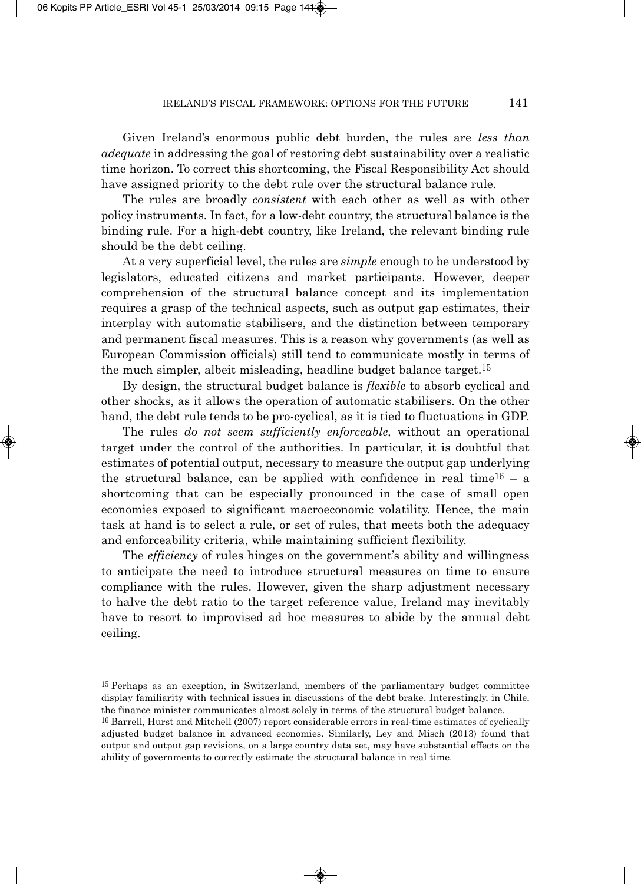Given Ireland's enormous public debt burden, the rules are *less than adequate* in addressing the goal of restoring debt sustainability over a realistic time horizon. To correct this shortcoming, the Fiscal Responsibility Act should have assigned priority to the debt rule over the structural balance rule.

The rules are broadly *consistent* with each other as well as with other policy instruments. In fact, for a low-debt country, the structural balance is the binding rule. For a high-debt country, like Ireland, the relevant binding rule should be the debt ceiling.

At a very superficial level, the rules are *simple* enough to be understood by legislators, educated citizens and market participants. However, deeper comprehension of the structural balance concept and its implementation requires a grasp of the technical aspects, such as output gap estimates, their interplay with automatic stabilisers, and the distinction between temporary and permanent fiscal measures. This is a reason why governments (as well as European Commission officials) still tend to communicate mostly in terms of the much simpler, albeit misleading, headline budget balance target.<sup>15</sup>

By design, the structural budget balance is *flexible* to absorb cyclical and other shocks, as it allows the operation of automatic stabilisers. On the other hand, the debt rule tends to be pro-cyclical, as it is tied to fluctuations in GDP.

The rules *do not seem sufficiently enforceable,* without an operational target under the control of the authorities. In particular, it is doubtful that estimates of potential output, necessary to measure the output gap underlying the structural balance, can be applied with confidence in real time<sup>16</sup> – a shortcoming that can be especially pronounced in the case of small open economies exposed to significant macroeconomic volatility. Hence, the main task at hand is to select a rule, or set of rules, that meets both the adequacy and enforceability criteria, while maintaining sufficient flexibility.

The *efficiency* of rules hinges on the government's ability and willingness to anticipate the need to introduce structural measures on time to ensure compliance with the rules. However, given the sharp adjustment necessary to halve the debt ratio to the target reference value, Ireland may inevitably have to resort to improvised ad hoc measures to abide by the annual debt ceiling.

<sup>15</sup> Perhaps as an exception, in Switzerland, members of the parliamentary budget committee display familiarity with technical issues in discussions of the debt brake. Interestingly, in Chile, the finance minister communicates almost solely in terms of the structural budget balance.

<sup>16</sup> Barrell, Hurst and Mitchell (2007) report considerable errors in real-time estimates of cyclically adjusted budget balance in advanced economies. Similarly, Ley and Misch (2013) found that output and output gap revisions, on a large country data set, may have substantial effects on the ability of governments to correctly estimate the structural balance in real time.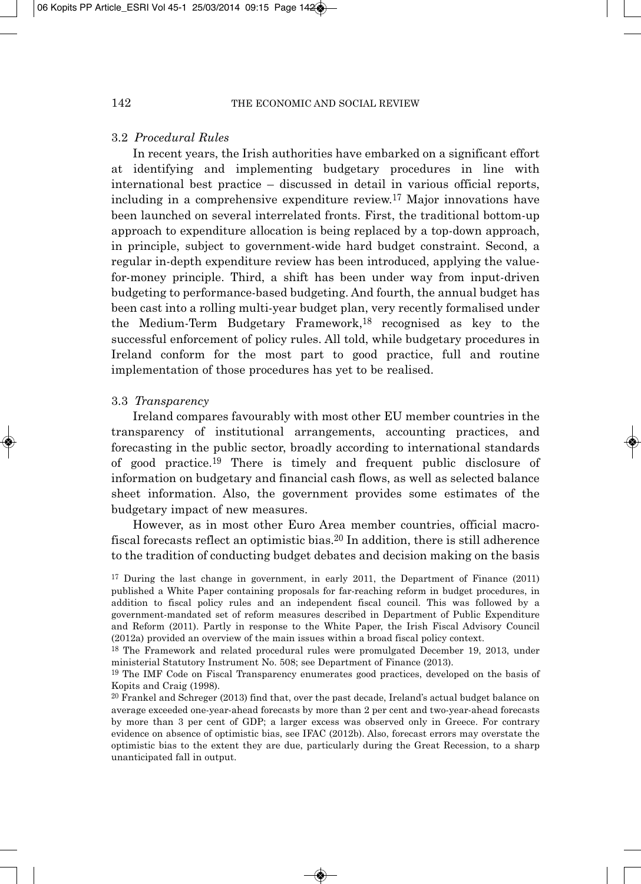#### 3.2 *Procedural Rules*

In recent years, the Irish authorities have embarked on a significant effort at identifying and implementing budgetary procedures in line with international best practice – discussed in detail in various official reports, including in a comprehensive expenditure review.17 Major innovations have been launched on several interrelated fronts. First, the traditional bottom-up approach to expenditure allocation is being replaced by a top-down approach, in principle, subject to government-wide hard budget constraint. Second, a regular in-depth expenditure review has been introduced, applying the valuefor-money principle. Third, a shift has been under way from input-driven budgeting to performance-based budgeting. And fourth, the annual budget has been cast into a rolling multi-year budget plan, very recently formalised under the Medium-Term Budgetary Framework,18 recognised as key to the successful enforcement of policy rules. All told, while budgetary procedures in Ireland conform for the most part to good practice, full and routine implementation of those procedures has yet to be realised.

#### 3.3 *Transparency*

Ireland compares favourably with most other EU member countries in the transparency of institutional arrangements, accounting practices, and forecasting in the public sector, broadly according to international standards of good practice.19 There is timely and frequent public disclosure of information on budgetary and financial cash flows, as well as selected balance sheet information. Also, the government provides some estimates of the budgetary impact of new measures.

However, as in most other Euro Area member countries, official macrofiscal forecasts reflect an optimistic bias.20 In addition, there is still adherence to the tradition of conducting budget debates and decision making on the basis

<sup>17</sup> During the last change in government, in early 2011, the Department of Finance (2011) published a White Paper containing proposals for far-reaching reform in budget procedures, in addition to fiscal policy rules and an independent fiscal council. This was followed by a government-mandated set of reform measures described in Department of Public Expenditure and Reform (2011). Partly in response to the White Paper, the Irish Fiscal Advisory Council (2012a) provided an overview of the main issues within a broad fiscal policy context.

<sup>18</sup> The Framework and related procedural rules were promulgated December 19, 2013, under ministerial Statutory Instrument No. 508; see Department of Finance (2013).

<sup>19</sup> The IMF Code on Fiscal Transparency enumerates good practices, developed on the basis of Kopits and Craig (1998).

<sup>20</sup> Frankel and Schreger (2013) find that, over the past decade, Ireland's actual budget balance on average exceeded one-year-ahead forecasts by more than 2 per cent and two-year-ahead forecasts by more than 3 per cent of GDP; a larger excess was observed only in Greece. For contrary evidence on absence of optimistic bias, see IFAC (2012b). Also, forecast errors may overstate the optimistic bias to the extent they are due, particularly during the Great Recession, to a sharp unanticipated fall in output.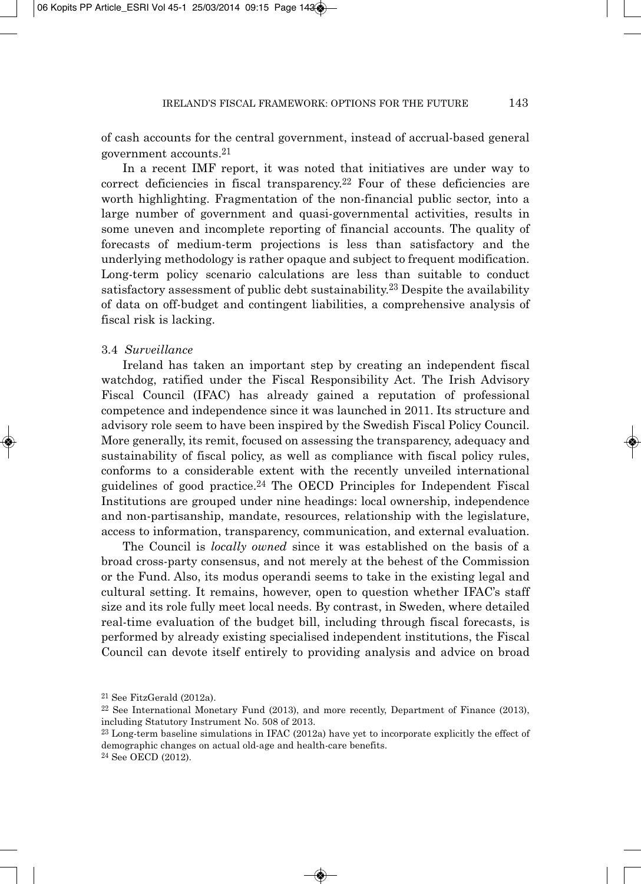of cash accounts for the central government, instead of accrual-based general government accounts.21

In a recent IMF report, it was noted that initiatives are under way to correct deficiencies in fiscal transparency.22 Four of these deficiencies are worth highlighting. Fragmentation of the non-financial public sector, into a large number of government and quasi-governmental activities, results in some uneven and incomplete reporting of financial accounts. The quality of forecasts of medium-term projections is less than satisfactory and the underlying methodology is rather opaque and subject to frequent modification. Long-term policy scenario calculations are less than suitable to conduct satisfactory assessment of public debt sustainability.23 Despite the availability of data on off-budget and contingent liabilities, a comprehensive analysis of fiscal risk is lacking.

#### 3.4 *Surveillance*

Ireland has taken an important step by creating an independent fiscal watchdog, ratified under the Fiscal Responsibility Act. The Irish Advisory Fiscal Council (IFAC) has already gained a reputation of professional competence and independence since it was launched in 2011. Its structure and advisory role seem to have been inspired by the Swedish Fiscal Policy Council. More generally, its remit, focused on assessing the transparency, adequacy and sustainability of fiscal policy, as well as compliance with fiscal policy rules, conforms to a considerable extent with the recently unveiled international guidelines of good practice.24 The OECD Principles for Independent Fiscal Institutions are grouped under nine headings: local ownership, independence and non-partisanship, mandate, resources, relationship with the legislature, access to information, transparency, communication, and external evaluation.

The Council is *locally owned* since it was established on the basis of a broad cross-party consensus, and not merely at the behest of the Commission or the Fund. Also, its modus operandi seems to take in the existing legal and cultural setting. It remains, however, open to question whether IFAC's staff size and its role fully meet local needs. By contrast, in Sweden, where detailed real-time evaluation of the budget bill, including through fiscal forecasts, is performed by already existing specialised independent institutions, the Fiscal Council can devote itself entirely to providing analysis and advice on broad

<sup>21</sup> See FitzGerald (2012a).

<sup>22</sup> See International Monetary Fund (2013), and more recently, Department of Finance (2013), including Statutory Instrument No. 508 of 2013.

<sup>23</sup> Long-term baseline simulations in IFAC (2012a) have yet to incorporate explicitly the effect of demographic changes on actual old-age and health-care benefits.

<sup>24</sup> See OECD (2012).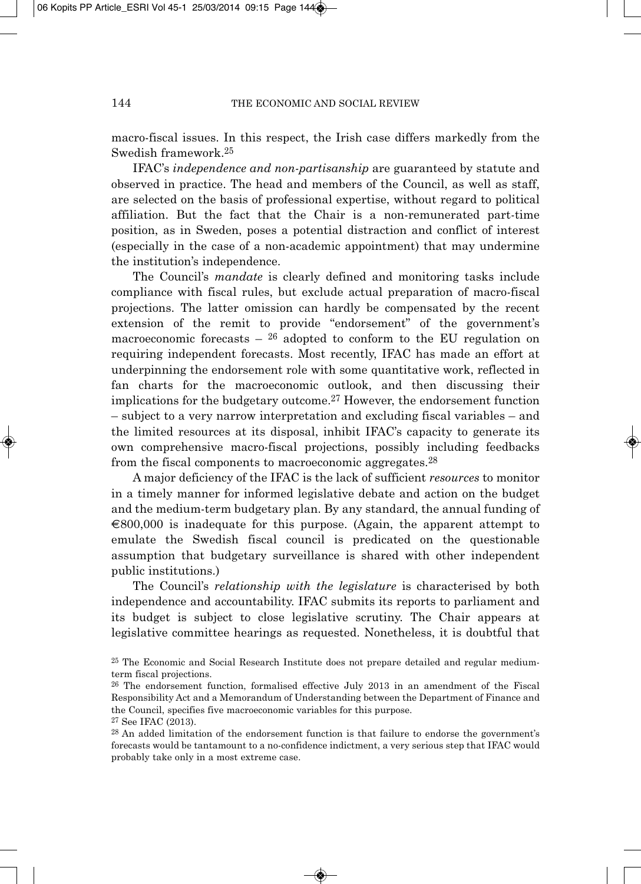macro-fiscal issues. In this respect, the Irish case differs markedly from the Swedish framework.25

IFAC's *independence and non-partisanship* are guaranteed by statute and observed in practice. The head and members of the Council, as well as staff, are selected on the basis of professional expertise, without regard to political affiliation. But the fact that the Chair is a non-remunerated part-time position, as in Sweden, poses a potential distraction and conflict of interest (especially in the case of a non-academic appointment) that may undermine the institution's independence.

The Council's *mandate* is clearly defined and monitoring tasks include compliance with fiscal rules, but exclude actual preparation of macro-fiscal projections. The latter omission can hardly be compensated by the recent extension of the remit to provide "endorsement" of the government's macroeconomic forecasts  $-$  <sup>26</sup> adopted to conform to the EU regulation on requiring independent forecasts. Most recently, IFAC has made an effort at underpinning the endorsement role with some quantitative work, reflected in fan charts for the macroeconomic outlook, and then discussing their implications for the budgetary outcome.27 However, the endorsement function – subject to a very narrow interpretation and excluding fiscal variables – and the limited resources at its disposal, inhibit IFAC's capacity to generate its own comprehensive macro-fiscal projections, possibly including feedbacks from the fiscal components to macroeconomic aggregates.28

A major deficiency of the IFAC is the lack of sufficient *resources* to monitor in a timely manner for informed legislative debate and action on the budget and the medium-term budgetary plan. By any standard, the annual funding of  $\epsilon$ 800,000 is inadequate for this purpose. (Again, the apparent attempt to emulate the Swedish fiscal council is predicated on the questionable assumption that budgetary surveillance is shared with other independent public institutions.)

The Council's *relationship with the legislature* is characterised by both independence and accountability. IFAC submits its reports to parliament and its budget is subject to close legislative scrutiny. The Chair appears at legislative committee hearings as requested. Nonetheless, it is doubtful that

<sup>25</sup> The Economic and Social Research Institute does not prepare detailed and regular mediumterm fiscal projections.

<sup>26</sup> The endorsement function, formalised effective July 2013 in an amendment of the Fiscal Responsibility Act and a Memorandum of Understanding between the Department of Finance and the Council, specifies five macroeconomic variables for this purpose.

<sup>27</sup> See IFAC (2013).

<sup>28</sup> An added limitation of the endorsement function is that failure to endorse the government's forecasts would be tantamount to a no-confidence indictment, a very serious step that IFAC would probably take only in a most extreme case.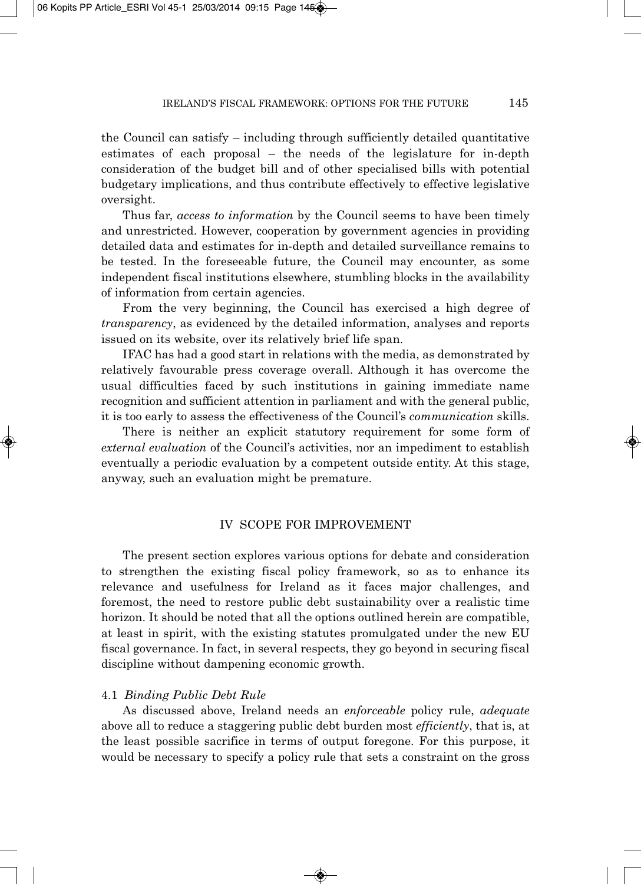the Council can satisfy – including through sufficiently detailed quantitative estimates of each proposal – the needs of the legislature for in-depth consideration of the budget bill and of other specialised bills with potential budgetary implications, and thus contribute effectively to effective legislative oversight.

Thus far, *access to information* by the Council seems to have been timely and unrestricted. However, cooperation by government agencies in providing detailed data and estimates for in-depth and detailed surveillance remains to be tested. In the foreseeable future, the Council may encounter, as some independent fiscal institutions elsewhere, stumbling blocks in the availability of information from certain agencies.

From the very beginning, the Council has exercised a high degree of *transparency*, as evidenced by the detailed information, analyses and reports issued on its website, over its relatively brief life span.

IFAC has had a good start in relations with the media, as demonstrated by relatively favourable press coverage overall. Although it has overcome the usual difficulties faced by such institutions in gaining immediate name recognition and sufficient attention in parliament and with the general public, it is too early to assess the effectiveness of the Council's *communication* skills.

There is neither an explicit statutory requirement for some form of *external evaluation* of the Council's activities, nor an impediment to establish eventually a periodic evaluation by a competent outside entity. At this stage, anyway, such an evaluation might be premature.

## IV SCOPE FOR IMPROVEMENT

The present section explores various options for debate and consideration to strengthen the existing fiscal policy framework, so as to enhance its relevance and usefulness for Ireland as it faces major challenges, and foremost, the need to restore public debt sustainability over a realistic time horizon. It should be noted that all the options outlined herein are compatible, at least in spirit, with the existing statutes promulgated under the new EU fiscal governance. In fact, in several respects, they go beyond in securing fiscal discipline without dampening economic growth.

## 4.1 *Binding Public Debt Rule*

As discussed above, Ireland needs an *enforceable* policy rule, *adequate* above all to reduce a staggering public debt burden most *efficiently*, that is, at the least possible sacrifice in terms of output foregone. For this purpose, it would be necessary to specify a policy rule that sets a constraint on the gross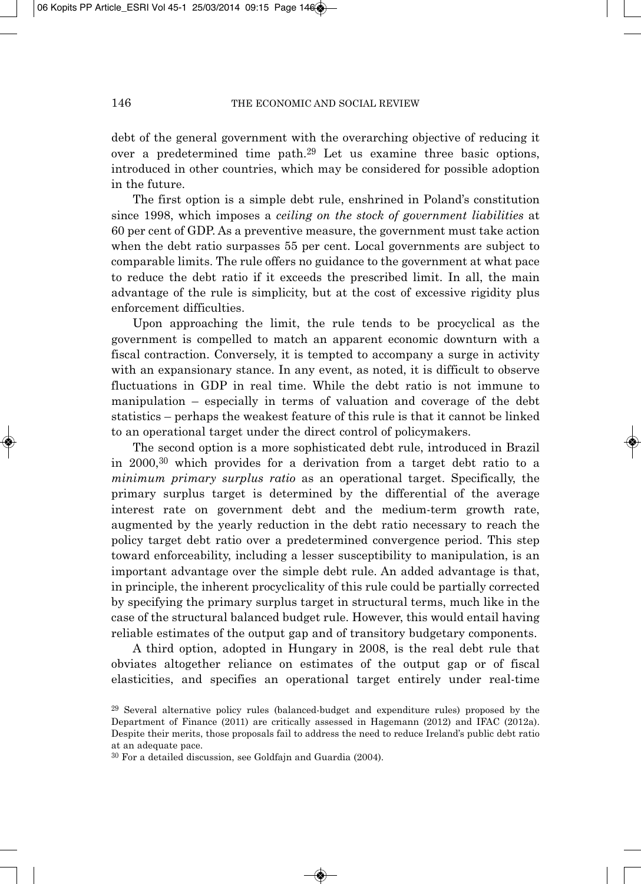debt of the general government with the overarching objective of reducing it over a predetermined time path.29 Let us examine three basic options, introduced in other countries, which may be considered for possible adoption in the future.

The first option is a simple debt rule, enshrined in Poland's constitution since 1998, which imposes a *ceiling on the stock of government liabilities* at 60 per cent of GDP. As a preventive measure, the government must take action when the debt ratio surpasses 55 per cent. Local governments are subject to comparable limits. The rule offers no guidance to the government at what pace to reduce the debt ratio if it exceeds the prescribed limit. In all, the main advantage of the rule is simplicity, but at the cost of excessive rigidity plus enforcement difficulties.

Upon approaching the limit, the rule tends to be procyclical as the government is compelled to match an apparent economic downturn with a fiscal contraction. Conversely, it is tempted to accompany a surge in activity with an expansionary stance. In any event, as noted, it is difficult to observe fluctuations in GDP in real time. While the debt ratio is not immune to manipulation – especially in terms of valuation and coverage of the debt statistics – perhaps the weakest feature of this rule is that it cannot be linked to an operational target under the direct control of policymakers.

The second option is a more sophisticated debt rule, introduced in Brazil in 2000,30 which provides for a derivation from a target debt ratio to a *minimum primary surplus ratio* as an operational target. Specifically, the primary surplus target is determined by the differential of the average interest rate on government debt and the medium-term growth rate, augmented by the yearly reduction in the debt ratio necessary to reach the policy target debt ratio over a predetermined convergence period. This step toward enforceability, including a lesser susceptibility to manipulation, is an important advantage over the simple debt rule. An added advantage is that, in principle, the inherent procyclicality of this rule could be partially corrected by specifying the primary surplus target in structural terms, much like in the case of the structural balanced budget rule. However, this would entail having reliable estimates of the output gap and of transitory budgetary components.

A third option, adopted in Hungary in 2008, is the real debt rule that obviates altogether reliance on estimates of the output gap or of fiscal elasticities, and specifies an operational target entirely under real-time

<sup>29</sup> Several alternative policy rules (balanced-budget and expenditure rules) proposed by the Department of Finance (2011) are critically assessed in Hagemann (2012) and IFAC (2012a). Despite their merits, those proposals fail to address the need to reduce Ireland's public debt ratio at an adequate pace.

<sup>30</sup> For a detailed discussion, see Goldfajn and Guardia (2004).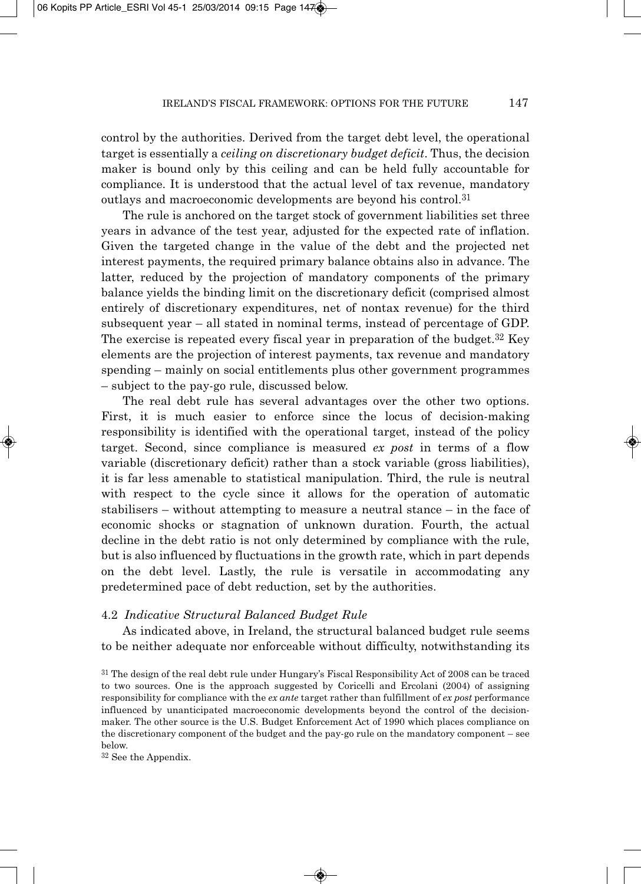control by the authorities. Derived from the target debt level, the operational target is essentially a *ceiling on discretionary budget deficit*. Thus, the decision maker is bound only by this ceiling and can be held fully accountable for compliance. It is understood that the actual level of tax revenue, mandatory outlays and macroeconomic developments are beyond his control.31

The rule is anchored on the target stock of government liabilities set three years in advance of the test year, adjusted for the expected rate of inflation. Given the targeted change in the value of the debt and the projected net interest payments, the required primary balance obtains also in advance. The latter, reduced by the projection of mandatory components of the primary balance yields the binding limit on the discretionary deficit (comprised almost entirely of discretionary expenditures, net of nontax revenue) for the third subsequent year  $-$  all stated in nominal terms, instead of percentage of GDP. The exercise is repeated every fiscal year in preparation of the budget.32 Key elements are the projection of interest payments, tax revenue and mandatory spending – mainly on social entitlements plus other government programmes – subject to the pay-go rule, discussed below.

The real debt rule has several advantages over the other two options. First, it is much easier to enforce since the locus of decision-making responsibility is identified with the operational target, instead of the policy target. Second, since compliance is measured *ex post* in terms of a flow variable (discretionary deficit) rather than a stock variable (gross liabilities), it is far less amenable to statistical manipulation. Third, the rule is neutral with respect to the cycle since it allows for the operation of automatic stabilisers – without attempting to measure a neutral stance – in the face of economic shocks or stagnation of unknown duration. Fourth, the actual decline in the debt ratio is not only determined by compliance with the rule, but is also influenced by fluctuations in the growth rate, which in part depends on the debt level. Lastly, the rule is versatile in accommodating any predetermined pace of debt reduction, set by the authorities.

### 4.2 *Indicative Structural Balanced Budget Rule*

As indicated above, in Ireland, the structural balanced budget rule seems to be neither adequate nor enforceable without difficulty, notwithstanding its

<sup>32</sup> See the Appendix.

<sup>&</sup>lt;sup>31</sup> The design of the real debt rule under Hungary's Fiscal Responsibility Act of 2008 can be traced to two sources. One is the approach suggested by Coricelli and Ercolani (2004) of assigning responsibility for compliance with the *ex ante* target rather than fulfillment of *ex post* performance influenced by unanticipated macroeconomic developments beyond the control of the decisionmaker. The other source is the U.S. Budget Enforcement Act of 1990 which places compliance on the discretionary component of the budget and the pay-go rule on the mandatory component – see below.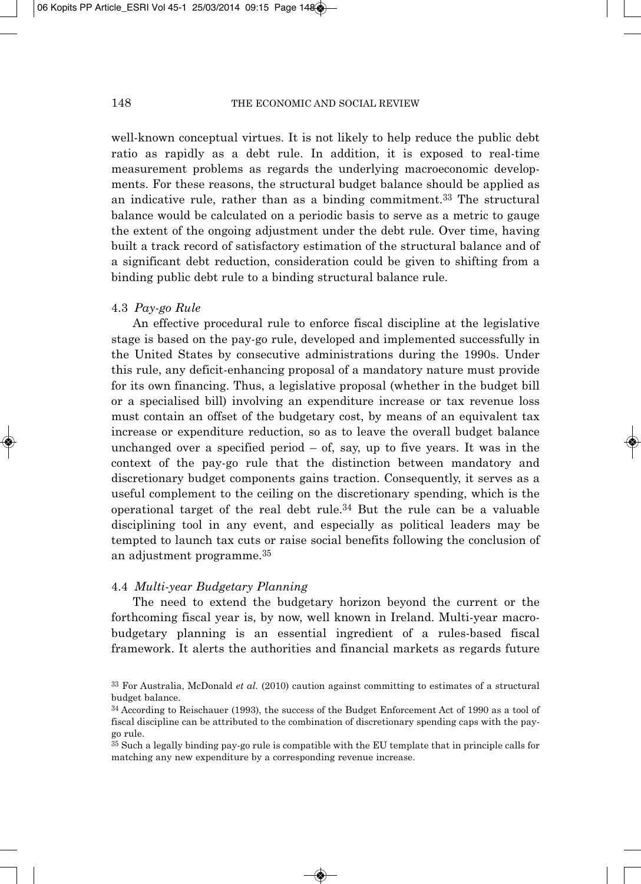well-known conceptual virtues. It is not likely to help reduce the public debt ratio as rapidly as a debt rule. In addition, it is exposed to real-time measurement problems as regards the underlying macroeconomic developments. For these reasons, the structural budget balance should be applied as an indicative rule, rather than as a binding commitment.33 The structural balance would be calculated on a periodic basis to serve as a metric to gauge the extent of the ongoing adjustment under the debt rule. Over time, having built a track record of satisfactory estimation of the structural balance and of a significant debt reduction, consideration could be given to shifting from a binding public debt rule to a binding structural balance rule.

#### 4.3 *Pay-go Rule*

An effective procedural rule to enforce fiscal discipline at the legislative stage is based on the pay-go rule, developed and implemented successfully in the United States by consecutive administrations during the 1990s. Under this rule, any deficit-enhancing proposal of a mandatory nature must provide for its own financing. Thus, a legislative proposal (whether in the budget bill or a specialised bill) involving an expenditure increase or tax revenue loss must contain an offset of the budgetary cost, by means of an equivalent tax increase or expenditure reduction, so as to leave the overall budget balance unchanged over a specified period  $-$  of, say, up to five years. It was in the context of the pay-go rule that the distinction between mandatory and discretionary budget components gains traction. Consequently, it serves as a useful complement to the ceiling on the discretionary spending, which is the operational target of the real debt rule.<sup>34</sup> But the rule can be a valuable disciplining tool in any event, and especially as political leaders may be tempted to launch tax cuts or raise social benefits following the conclusion of an adjustment programme.<sup>35</sup>

#### 4.4 *Multi-year Budgetary Planning*

The need to extend the budgetary horizon beyond the current or the forthcoming fiscal year is, by now, well known in Ireland. Multi-year macrobudgetary planning is an essential ingredient of a rules-based fiscal framework. It alerts the authorities and financial markets as regards future

<sup>33</sup> For Australia, McDonald *et al.* (2010) caution against committing to estimates of a structural budget balance.

<sup>&</sup>lt;sup>34</sup> According to Reischauer (1993), the success of the Budget Enforcement Act of 1990 as a tool of fiscal discipline can be attributed to the combination of discretionary spending caps with the paygo rule.

 $35$  Such a legally binding pay-go rule is compatible with the EU template that in principle calls for matching any new expenditure by a corresponding revenue increase.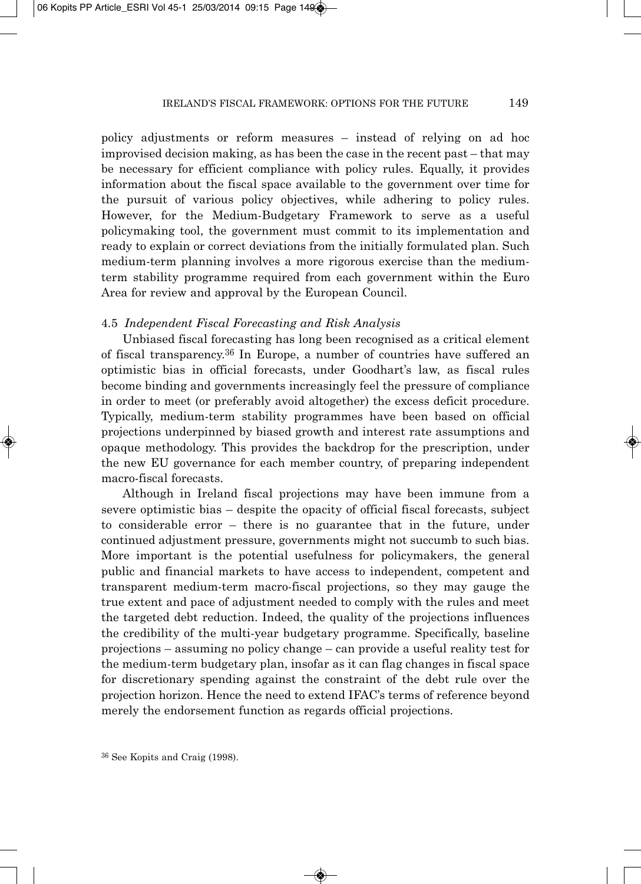policy adjustments or reform measures – instead of relying on ad hoc improvised decision making, as has been the case in the recent past – that may be necessary for efficient compliance with policy rules. Equally, it provides information about the fiscal space available to the government over time for the pursuit of various policy objectives, while adhering to policy rules. However, for the Medium-Budgetary Framework to serve as a useful policymaking tool, the government must commit to its implementation and ready to explain or correct deviations from the initially formulated plan. Such medium-term planning involves a more rigorous exercise than the mediumterm stability programme required from each government within the Euro Area for review and approval by the European Council.

#### 4.5 *Independent Fiscal Forecasting and Risk Analysis*

Unbiased fiscal forecasting has long been recognised as a critical element of fiscal transparency.36 In Europe, a number of countries have suffered an optimistic bias in official forecasts, under Goodhart's law, as fiscal rules become binding and governments increasingly feel the pressure of compliance in order to meet (or preferably avoid altogether) the excess deficit procedure. Typically, medium-term stability programmes have been based on official projections underpinned by biased growth and interest rate assumptions and opaque methodology. This provides the backdrop for the prescription, under the new EU governance for each member country, of preparing independent macro-fiscal forecasts.

Although in Ireland fiscal projections may have been immune from a severe optimistic bias – despite the opacity of official fiscal forecasts, subject to considerable error – there is no guarantee that in the future, under continued adjustment pressure, governments might not succumb to such bias. More important is the potential usefulness for policymakers, the general public and financial markets to have access to independent, competent and transparent medium-term macro-fiscal projections, so they may gauge the true extent and pace of adjustment needed to comply with the rules and meet the targeted debt reduction. Indeed, the quality of the projections influences the credibility of the multi-year budgetary programme. Specifically, baseline projections – assuming no policy change – can provide a useful reality test for the medium-term budgetary plan, insofar as it can flag changes in fiscal space for discretionary spending against the constraint of the debt rule over the projection horizon. Hence the need to extend IFAC's terms of reference beyond merely the endorsement function as regards official projections.

<sup>36</sup> See Kopits and Craig (1998).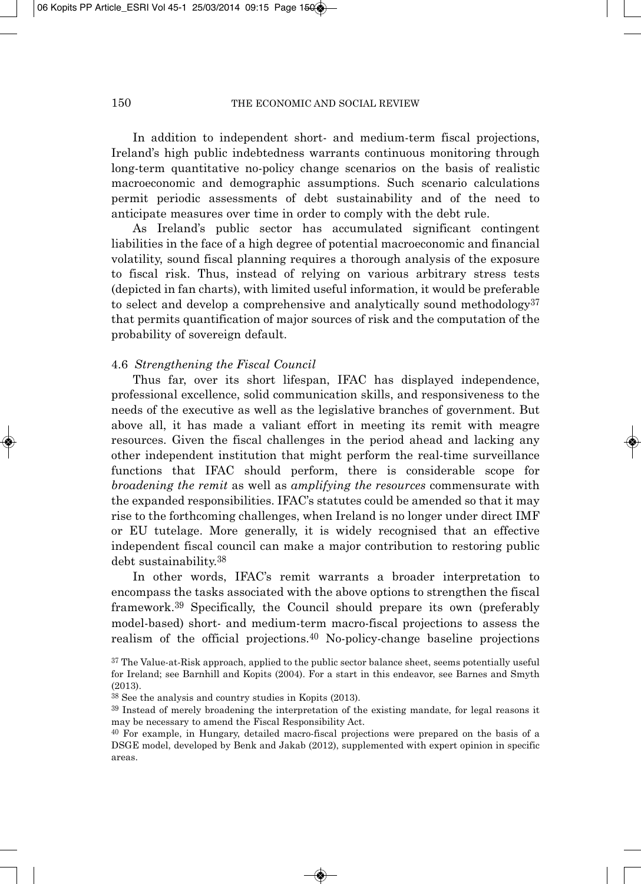In addition to independent short- and medium-term fiscal projections, Ireland's high public indebtedness warrants continuous monitoring through long-term quantitative no-policy change scenarios on the basis of realistic macroeconomic and demographic assumptions. Such scenario calculations permit periodic assessments of debt sustainability and of the need to anticipate measures over time in order to comply with the debt rule.

As Ireland's public sector has accumulated significant contingent liabilities in the face of a high degree of potential macroeconomic and financial volatility, sound fiscal planning requires a thorough analysis of the exposure to fiscal risk. Thus, instead of relying on various arbitrary stress tests (depicted in fan charts), with limited useful information, it would be preferable to select and develop a comprehensive and analytically sound methodology<sup>37</sup> that permits quantification of major sources of risk and the computation of the probability of sovereign default.

#### 4.6 *Strengthening the Fiscal Council*

Thus far, over its short lifespan, IFAC has displayed independence, professional excellence, solid communication skills, and responsiveness to the needs of the executive as well as the legislative branches of government. But above all, it has made a valiant effort in meeting its remit with meagre resources. Given the fiscal challenges in the period ahead and lacking any other independent institution that might perform the real-time surveillance functions that IFAC should perform, there is considerable scope for *broadening the remit* as well as *amplifying the resources* commensurate with the expanded responsibilities. IFAC's statutes could be amended so that it may rise to the forthcoming challenges, when Ireland is no longer under direct IMF or EU tutelage. More generally, it is widely recognised that an effective independent fiscal council can make a major contribution to restoring public debt sustainability.38

In other words, IFAC's remit warrants a broader interpretation to encompass the tasks associated with the above options to strengthen the fiscal framework.39 Specifically, the Council should prepare its own (preferably model-based) short- and medium-term macro-fiscal projections to assess the realism of the official projections.<sup>40</sup> No-policy-change baseline projections

<sup>&</sup>lt;sup>37</sup> The Value-at-Risk approach, applied to the public sector balance sheet, seems potentially useful for Ireland; see Barnhill and Kopits (2004). For a start in this endeavor, see Barnes and Smyth (2013).

<sup>38</sup> See the analysis and country studies in Kopits (2013).

<sup>39</sup> Instead of merely broadening the interpretation of the existing mandate, for legal reasons it may be necessary to amend the Fiscal Responsibility Act.

<sup>40</sup> For example, in Hungary, detailed macro-fiscal projections were prepared on the basis of a DSGE model, developed by Benk and Jakab (2012), supplemented with expert opinion in specific areas.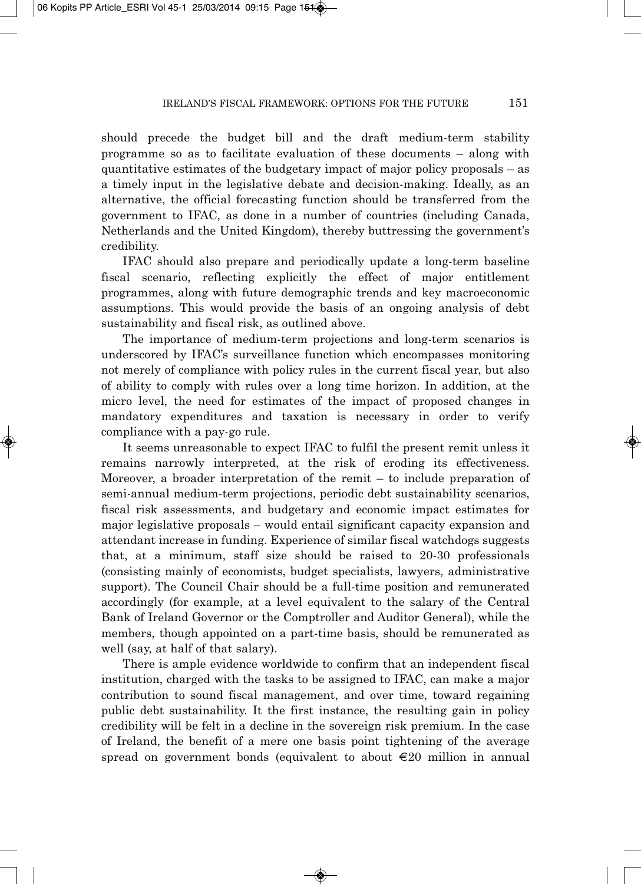should precede the budget bill and the draft medium-term stability programme so as to facilitate evaluation of these documents – along with quantitative estimates of the budgetary impact of major policy proposals  $-$  as a timely input in the legislative debate and decision-making. Ideally, as an alternative, the official forecasting function should be transferred from the government to IFAC, as done in a number of countries (including Canada, Netherlands and the United Kingdom), thereby buttressing the government's credibility.

IFAC should also prepare and periodically update a long-term baseline fiscal scenario, reflecting explicitly the effect of major entitlement programmes, along with future demographic trends and key macroeconomic assumptions. This would provide the basis of an ongoing analysis of debt sustainability and fiscal risk, as outlined above.

The importance of medium-term projections and long-term scenarios is underscored by IFAC's surveillance function which encompasses monitoring not merely of compliance with policy rules in the current fiscal year, but also of ability to comply with rules over a long time horizon. In addition, at the micro level, the need for estimates of the impact of proposed changes in mandatory expenditures and taxation is necessary in order to verify compliance with a pay-go rule.

It seems unreasonable to expect IFAC to fulfil the present remit unless it remains narrowly interpreted, at the risk of eroding its effectiveness. Moreover, a broader interpretation of the remit – to include preparation of semi-annual medium-term projections, periodic debt sustainability scenarios, fiscal risk assessments, and budgetary and economic impact estimates for major legislative proposals – would entail significant capacity expansion and attendant increase in funding. Experience of similar fiscal watchdogs suggests that, at a minimum, staff size should be raised to 20-30 professionals (consisting mainly of economists, budget specialists, lawyers, administrative support). The Council Chair should be a full-time position and remunerated accordingly (for example, at a level equivalent to the salary of the Central Bank of Ireland Governor or the Comptroller and Auditor General), while the members, though appointed on a part-time basis, should be remunerated as well (say, at half of that salary).

There is ample evidence worldwide to confirm that an independent fiscal institution, charged with the tasks to be assigned to IFAC, can make a major contribution to sound fiscal management, and over time, toward regaining public debt sustainability. It the first instance, the resulting gain in policy credibility will be felt in a decline in the sovereign risk premium. In the case of Ireland, the benefit of a mere one basis point tightening of the average spread on government bonds (equivalent to about €20 million in annual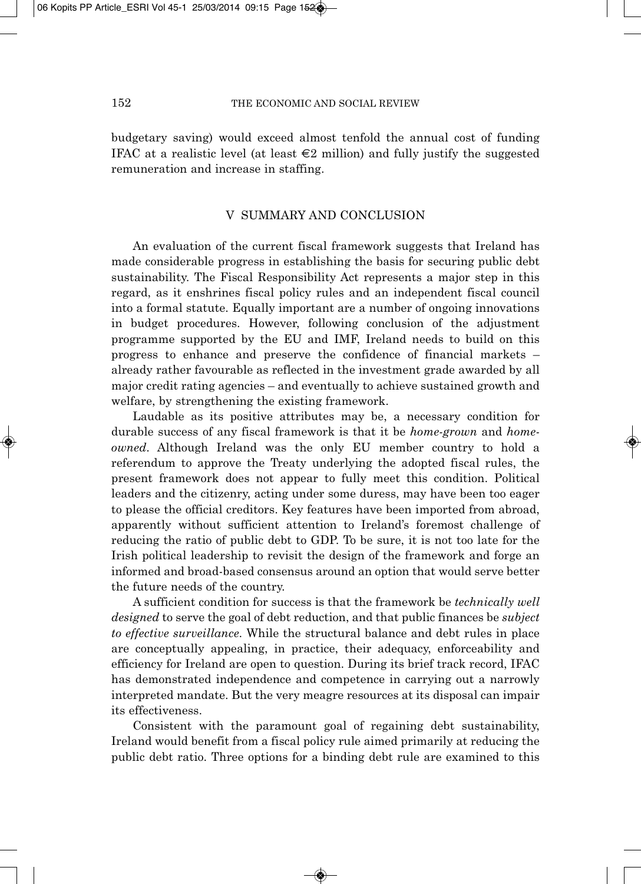budgetary saving) would exceed almost tenfold the annual cost of funding IFAC at a realistic level (at least  $\epsilon$ 2 million) and fully justify the suggested remuneration and increase in staffing.

## V SUMMARY AND CONCLUSION

An evaluation of the current fiscal framework suggests that Ireland has made considerable progress in establishing the basis for securing public debt sustainability. The Fiscal Responsibility Act represents a major step in this regard, as it enshrines fiscal policy rules and an independent fiscal council into a formal statute. Equally important are a number of ongoing innovations in budget procedures. However, following conclusion of the adjustment programme supported by the EU and IMF, Ireland needs to build on this progress to enhance and preserve the confidence of financial markets – already rather favourable as reflected in the investment grade awarded by all major credit rating agencies – and eventually to achieve sustained growth and welfare, by strengthening the existing framework.

Laudable as its positive attributes may be, a necessary condition for durable success of any fiscal framework is that it be *home-grown* and *homeowned*. Although Ireland was the only EU member country to hold a referendum to approve the Treaty underlying the adopted fiscal rules, the present framework does not appear to fully meet this condition. Political leaders and the citizenry, acting under some duress, may have been too eager to please the official creditors. Key features have been imported from abroad, apparently without sufficient attention to Ireland's foremost challenge of reducing the ratio of public debt to GDP. To be sure, it is not too late for the Irish political leadership to revisit the design of the framework and forge an informed and broad-based consensus around an option that would serve better the future needs of the country.

A sufficient condition for success is that the framework be *technically well designed* to serve the goal of debt reduction, and that public finances be *subject to effective surveillance*. While the structural balance and debt rules in place are conceptually appealing, in practice, their adequacy, enforceability and efficiency for Ireland are open to question. During its brief track record, IFAC has demonstrated independence and competence in carrying out a narrowly interpreted mandate. But the very meagre resources at its disposal can impair its effectiveness.

Consistent with the paramount goal of regaining debt sustainability, Ireland would benefit from a fiscal policy rule aimed primarily at reducing the public debt ratio. Three options for a binding debt rule are examined to this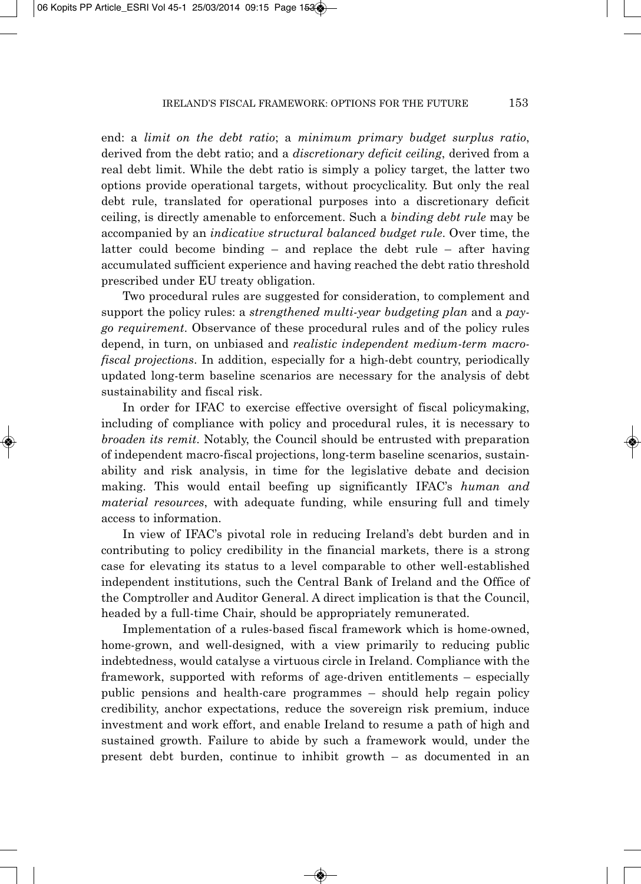end: a *limit on the debt ratio*; a *minimum primary budget surplus ratio*, derived from the debt ratio; and a *discretionary deficit ceiling*, derived from a real debt limit. While the debt ratio is simply a policy target, the latter two options provide operational targets, without procyclicality. But only the real debt rule, translated for operational purposes into a discretionary deficit ceiling, is directly amenable to enforcement. Such a *binding debt rule* may be accompanied by an *indicative structural balanced budget rule*. Over time, the latter could become binding – and replace the debt rule – after having accumulated sufficient experience and having reached the debt ratio threshold prescribed under EU treaty obligation.

Two procedural rules are suggested for consideration, to complement and support the policy rules: a *strengthened multi-year budgeting plan* and a *paygo requirement*. Observance of these procedural rules and of the policy rules depend, in turn, on unbiased and *realistic independent medium-term macrofiscal projections*. In addition, especially for a high-debt country, periodically updated long-term baseline scenarios are necessary for the analysis of debt sustainability and fiscal risk.

In order for IFAC to exercise effective oversight of fiscal policymaking, including of compliance with policy and procedural rules, it is necessary to *broaden its remit*. Notably, the Council should be entrusted with preparation of independent macro-fiscal projections, long-term baseline scenarios, sustain ability and risk analysis, in time for the legislative debate and decision making. This would entail beefing up significantly IFAC's *human and material resources*, with adequate funding, while ensuring full and timely access to information.

In view of IFAC's pivotal role in reducing Ireland's debt burden and in contributing to policy credibility in the financial markets, there is a strong case for elevating its status to a level comparable to other well-established independent institutions, such the Central Bank of Ireland and the Office of the Comptroller and Auditor General. A direct implication is that the Council, headed by a full-time Chair, should be appropriately remunerated.

Implementation of a rules-based fiscal framework which is home-owned, home-grown, and well-designed, with a view primarily to reducing public indebtedness, would catalyse a virtuous circle in Ireland. Compliance with the framework, supported with reforms of age-driven entitlements – especially public pensions and health-care programmes – should help regain policy credibility, anchor expectations, reduce the sovereign risk premium, induce investment and work effort, and enable Ireland to resume a path of high and sustained growth. Failure to abide by such a framework would, under the present debt burden, continue to inhibit growth – as documented in an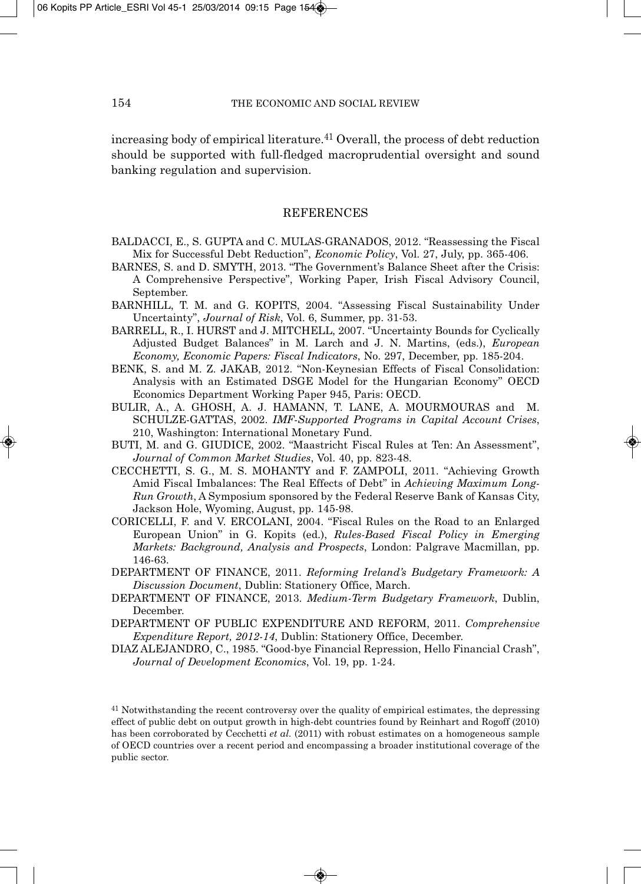increasing body of empirical literature.41 Overall, the process of debt reduction should be supported with full-fledged macroprudential oversight and sound banking regulation and supervision.

## **REFERENCES**

- BALDACCI, E., S. GUPTA and C. MULAS-GRANADOS, 2012. "Reassessing the Fiscal Mix for Successful Debt Reduction", *Economic Policy*, Vol. 27, July, pp. 365-406.
- BARNES, S. and D. SMYTH, 2013. "The Government's Balance Sheet after the Crisis: A Comprehensive Perspective", Working Paper, Irish Fiscal Advisory Council, September.
- BARNHILL, T. M. and G. KOPITS, 2004. "Assessing Fiscal Sustainability Under Uncertainty", *Journal of Risk*, Vol. 6, Summer, pp. 31-53.
- BARRELL, R., I. HURST and J. MITCHELL, 2007. "Uncertainty Bounds for Cyclically Adjusted Budget Balances" in M. Larch and J. N. Martins, (eds.), *European Economy, Economic Papers: Fiscal Indicators*, No. 297, December, pp. 185-204.
- BENK, S. and M. Z. JAKAB, 2012. "Non-Keynesian Effects of Fiscal Consolidation: Analysis with an Estimated DSGE Model for the Hungarian Economy" OECD Economics Department Working Paper 945, Paris: OECD.
- BULIR, A., A. GHOSH, A. J. HAMANN, T. LANE, A. MOURMOURAS and M. SCHULZE-GATTAS, 2002. *IMF-Supported Programs in Capital Account Crises*, 210, Washington: International Monetary Fund.
- BUTI, M. and G. GIUDICE, 2002. "Maastricht Fiscal Rules at Ten: An Assessment", *Journal of Common Market Studies*, Vol. 40, pp. 823-48.
- CECCHETTI, S. G., M. S. MOHANTY and F. ZAMPOLI, 2011. "Achieving Growth Amid Fiscal Imbalances: The Real Effects of Debt" in *Achieving Maximum Long-Run Growth*, A Symposium sponsored by the Federal Reserve Bank of Kansas City, Jackson Hole, Wyoming, August, pp. 145-98.
- CORICELLI, F. and V. ERCOLANI, 2004. "Fiscal Rules on the Road to an Enlarged European Union" in G. Kopits (ed.), *Rules-Based Fiscal Policy in Emerging Markets: Background, Analysis and Prospects*, London: Palgrave Macmillan, pp. 146-63.
- DEPARTMENT OF FINANCE, 2011. *Reforming Ireland's Budgetary Framework: A Discussion Document*, Dublin: Stationery Office, March.
- DEPARTMENT OF FINANCE, 2013. *Medium-Term Budgetary Framework*, Dublin, December.
- DEPARTMENT OF PUBLIC EXPENDITURE AND REFORM, 2011. *Comprehensive Expenditure Report, 2012-14*, Dublin: Stationery Office, December.
- DIAZ ALEJANDRO, C., 1985. "Good-bye Financial Repression, Hello Financial Crash", *Journal of Development Economics*, Vol. 19, pp. 1-24.

<sup>41</sup> Notwithstanding the recent controversy over the quality of empirical estimates, the depressing effect of public debt on output growth in high-debt countries found by Reinhart and Rogoff (2010) has been corroborated by Cecchetti *et al.* (2011) with robust estimates on a homogeneous sample of OECD countries over a recent period and encompassing a broader institutional coverage of the public sector.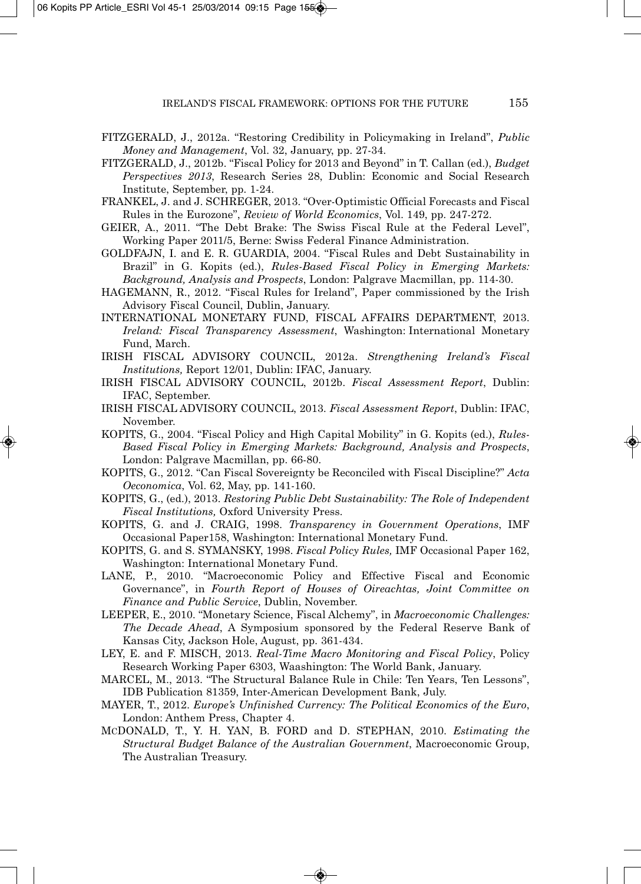- FITZGERALD, J., 2012a. "Restoring Credibility in Policymaking in Ireland", *Public Money and Management*, Vol. 32, January, pp. 27-34.
- FITZGERALD, J., 2012b. "Fiscal Policy for 2013 and Beyond" in T. Callan (ed.), *Budget Perspectives 2013*, Research Series 28, Dublin: Economic and Social Research Institute, September, pp. 1-24.
- FRANKEL, J. and J. SCHREGER, 2013. "Over-Optimistic Official Forecasts and Fiscal Rules in the Eurozone", *Review of World Economics*, Vol. 149, pp. 247-272.
- GEIER, A., 2011. "The Debt Brake: The Swiss Fiscal Rule at the Federal Level", Working Paper 2011/5, Berne: Swiss Federal Finance Administration.
- GOLDFAJN, I. and E. R. GUARDIA, 2004. "Fiscal Rules and Debt Sustainability in Brazil" in G. Kopits (ed.), *Rules-Based Fiscal Policy in Emerging Markets: Background, Analysis and Prospects*, London: Palgrave Macmillan, pp. 114-30.
- HAGEMANN, R., 2012. "Fiscal Rules for Ireland", Paper commissioned by the Irish Advisory Fiscal Council, Dublin, January.
- INTERNATIONAL MONETARY FUND, FISCAL AFFAIRS DEPARTMENT, 2013. *Ireland: Fiscal Transparency Assessment*, Washington: International Monetary Fund, March.
- IRISH FISCAL ADVISORY COUNCIL, 2012a. *Strengthening Ireland's Fiscal Institutions,* Report 12/01, Dublin: IFAC, January.
- IRISH FISCAL ADVISORY COUNCIL, 2012b. *Fiscal Assessment Report*, Dublin: IFAC, September.
- IRISH FISCAL ADVISORY COUNCIL, 2013. *Fiscal Assessment Report*, Dublin: IFAC, November.
- KOPITS, G., 2004. "Fiscal Policy and High Capital Mobility" in G. Kopits (ed.), *Rules-Based Fiscal Policy in Emerging Markets: Background, Analysis and Prospects*, London: Palgrave Macmillan, pp. 66-80.
- KOPITS, G., 2012. "Can Fiscal Sovereignty be Reconciled with Fiscal Discipline?" *Acta Oeconomica*, Vol. 62, May, pp. 141-160.
- KOPITS, G., (ed.), 2013. *Restoring Public Debt Sustainability: The Role of Independent Fiscal Institutions,* Oxford University Press.
- KOPITS, G. and J. CRAIG, 1998. *Transparency in Government Operations*, IMF Occasional Paper158, Washington: International Monetary Fund.
- KOPITS, G. and S. SYMANSKY, 1998. *Fiscal Policy Rules,* IMF Occasional Paper 162, Washington: International Monetary Fund.
- LANE, P., 2010. "Macroeconomic Policy and Effective Fiscal and Economic Governance", in *Fourth Report of Houses of Oireachtas, Joint Committee on Finance and Public Service*, Dublin, November.
- LEEPER, E., 2010. "Monetary Science, Fiscal Alchemy", in *Macroeconomic Challenges: The Decade Ahead*, A Symposium sponsored by the Federal Reserve Bank of Kansas City, Jackson Hole, August, pp. 361-434.
- LEY, E. and F. MISCH, 2013. *Real-Time Macro Monitoring and Fiscal Policy*, Policy Research Working Paper 6303, Waashington: The World Bank, January.
- MARCEL, M., 2013. "The Structural Balance Rule in Chile: Ten Years, Ten Lessons", IDB Publication 81359, Inter-American Development Bank, July.
- MAYER, T., 2012. *Europe's Unfinished Currency: The Political Economics of the Euro*, London: Anthem Press, Chapter 4.
- MCDONALD, T., Y. H. YAN, B. FORD and D. STEPHAN, 2010. *Estimating the Structural Budget Balance of the Australian Government*, Macroeconomic Group, The Australian Treasury.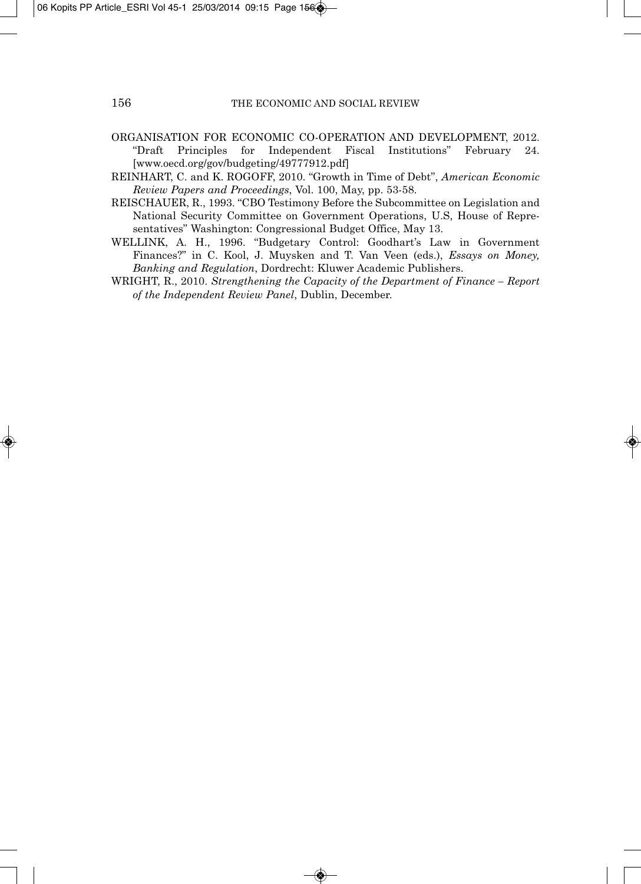- ORGANISATION FOR ECONOMIC CO-OPERATION AND DEVELOPMENT, 2012. "Draft Principles for Independent Fiscal Institutions" February 24. [www.oecd.org/gov/budgeting/49777912.pdf]
- REINHART, C. and K. ROGOFF, 2010. "Growth in Time of Debt", *American Economic Review Papers and Proceedings*, Vol. 100, May, pp. 53-58.
- REISCHAUER, R., 1993. "CBO Testimony Before the Subcommittee on Legislation and National Security Committee on Government Operations, U.S, House of Repre sentatives" Washington: Congressional Budget Office, May 13.
- WELLINK, A. H., 1996. "Budgetary Control: Goodhart's Law in Government Finances?" in C. Kool, J. Muysken and T. Van Veen (eds.), *Essays on Money, Banking and Regulation*, Dordrecht: Kluwer Academic Publishers.
- WRIGHT, R., 2010. *Strengthening the Capacity of the Department of Finance Report of the Independent Review Panel*, Dublin, December.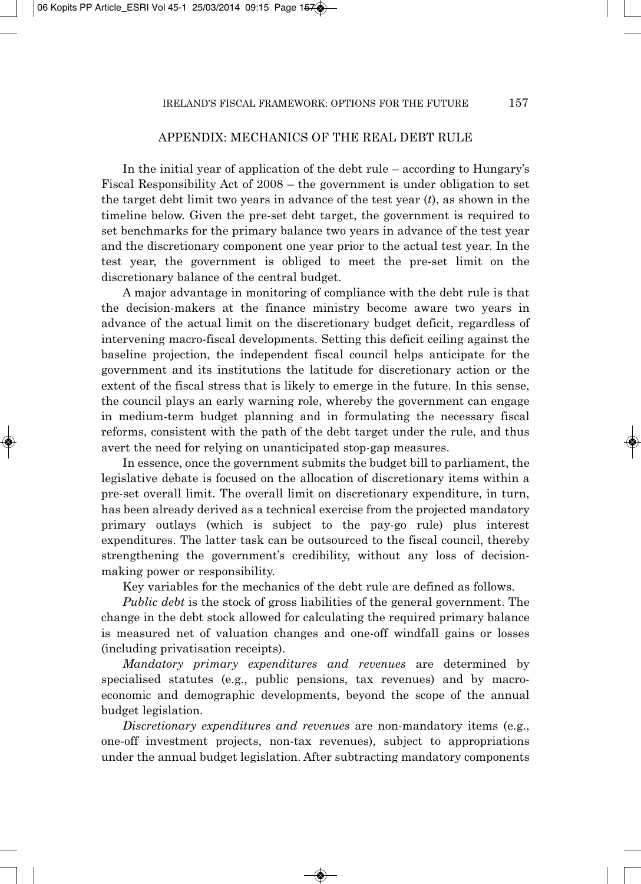## APPENDIX: MECHANICS OF THE REAL DEBT RULE

In the initial year of application of the debt rule – according to Hungary's Fiscal Responsibility Act of 2008 – the government is under obligation to set the target debt limit two years in advance of the test year (*t*), as shown in the timeline below. Given the pre-set debt target, the government is required to set benchmarks for the primary balance two years in advance of the test year and the discretionary component one year prior to the actual test year. In the test year, the government is obliged to meet the pre-set limit on the discretionary balance of the central budget.

A major advantage in monitoring of compliance with the debt rule is that the decision-makers at the finance ministry become aware two years in advance of the actual limit on the discretionary budget deficit, regardless of intervening macro-fiscal developments. Setting this deficit ceiling against the baseline projection, the independent fiscal council helps anticipate for the government and its institutions the latitude for discretionary action or the extent of the fiscal stress that is likely to emerge in the future. In this sense, the council plays an early warning role, whereby the government can engage in medium-term budget planning and in formulating the necessary fiscal reforms, consistent with the path of the debt target under the rule, and thus avert the need for relying on unanticipated stop-gap measures.

In essence, once the government submits the budget bill to parliament, the legislative debate is focused on the allocation of discretionary items within a pre-set overall limit. The overall limit on discretionary expenditure, in turn, has been already derived as a technical exercise from the projected mandatory primary outlays (which is subject to the pay-go rule) plus interest expenditures. The latter task can be outsourced to the fiscal council, thereby strengthening the government's credibility, without any loss of decisionmaking power or responsibility.

Key variables for the mechanics of the debt rule are defined as follows.

*Public debt* is the stock of gross liabilities of the general government. The change in the debt stock allowed for calculating the required primary balance is measured net of valuation changes and one-off windfall gains or losses (including privatisation receipts).

*Mandatory primary expenditures and revenues* are determined by specialised statutes (e.g., public pensions, tax revenues) and by macroeconomic and demographic developments, beyond the scope of the annual budget legislation.

*Discretionary expenditures and revenues* are non-mandatory items (e.g., one-off investment projects, non-tax revenues), subject to appropriations under the annual budget legislation. After subtracting mandatory components